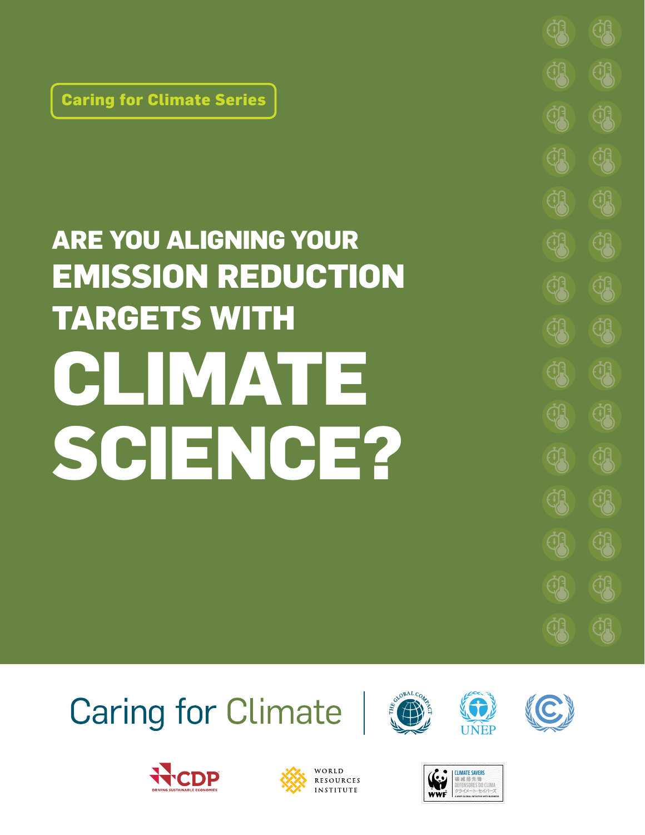**Caring for Climate Series**

# **ARE YOU ALIGNING YOUR EMISSION REDUCTION TARGETS WITH CLIMATE SCIENCE?**

# **Caring for Climate**















<u>्भ</u>

**CB** 

**CB** 

**43** 

**43** 

<u>ी प्र</u>

<u>्त्री</u>

<u>्भ</u>

**<u> क्रुंद्र</u>** 

**QR** 

**QR** 

**43** 

**43** 

**CB** 

**43** 

**43** 

**43** 

**43** 

**CB** 

**CB** 

**CB** 

**CB** 

**43** 

**43** 

**43** 

**43**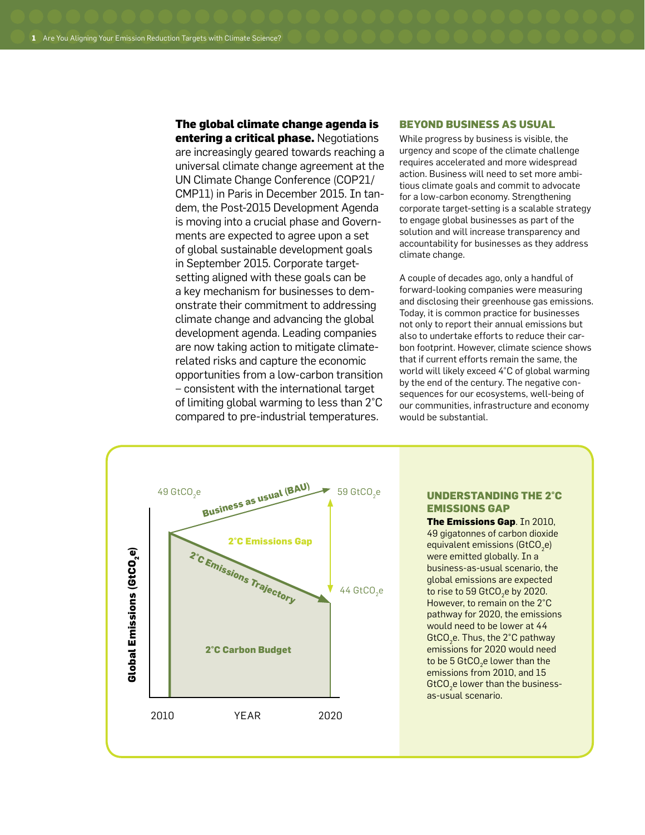# **The global climate change agenda is**

**entering a critical phase.** Negotiations are increasingly geared towards reaching a universal climate change agreement at the UN Climate Change Conference (COP21/ CMP11) in Paris in December 2015. In tandem, the Post-2015 Development Agenda is moving into a crucial phase and Governments are expected to agree upon a set of global sustainable development goals in September 2015. Corporate targetsetting aligned with these goals can be a key mechanism for businesses to demonstrate their commitment to addressing climate change and advancing the global development agenda. Leading companies are now taking action to mitigate climaterelated risks and capture the economic opportunities from a low-carbon transition – consistent with the international target of limiting global warming to less than 2°C compared to pre-industrial temperatures.

#### **Beyond Business as Usual**

While progress by business is visible, the urgency and scope of the climate challenge requires accelerated and more widespread action. Business will need to set more ambitious climate goals and commit to advocate for a low-carbon economy. Strengthening corporate target-setting is a scalable strategy to engage global businesses as part of the solution and will increase transparency and accountability for businesses as they address climate change.

A couple of decades ago, only a handful of forward-looking companies were measuring and disclosing their greenhouse gas emissions. Today, it is common practice for businesses not only to report their annual emissions but also to undertake efforts to reduce their carbon footprint. However, climate science shows that if current efforts remain the same, the world will likely exceed 4°C of global warming by the end of the century. The negative consequences for our ecosystems, well-being of our communities, infrastructure and economy would be substantial.



# **understanding the 2°C emissions gap**

**The Emissions Gap**. In 2010, 49 gigatonnes of carbon dioxide equivalent emissions (GtCO $_2$ e) were emitted globally. In a business-as-usual scenario, the global emissions are expected to rise to 59 GtCO $_2$ e by 2020. However, to remain on the 2°C pathway for 2020, the emissions would need to be lower at 44 GtCO $_2$ e. Thus, the 2°C pathway emissions for 2020 would need to be 5 GtCO $_2$ e lower than the emissions from 2010, and 15  $\mathsf{GtCO}_{2}$ e lower than the businessas-usual scenario.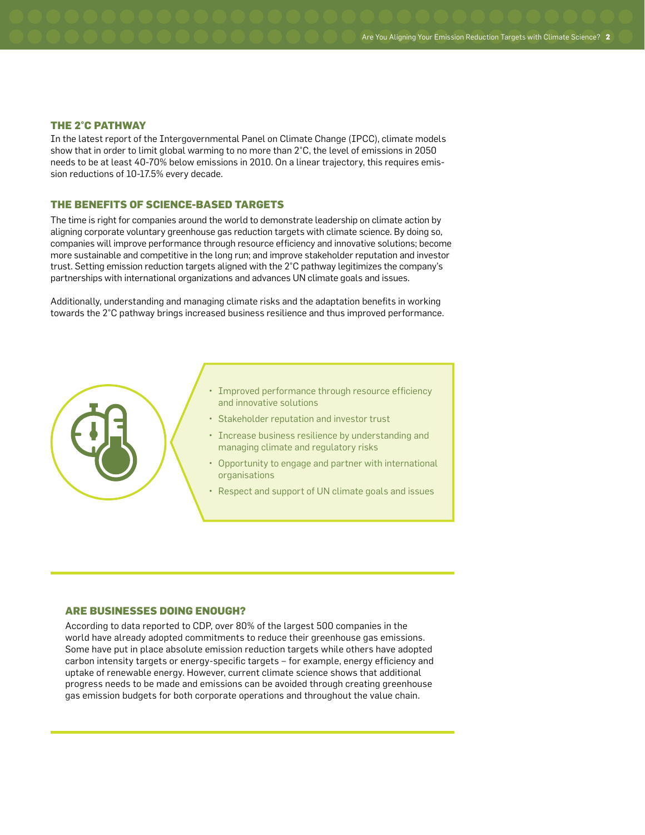#### **The 2°C Pathway**

In the latest report of the Intergovernmental Panel on Climate Change (IPCC), climate models show that in order to limit global warming to no more than 2°C, the level of emissions in 2050 needs to be at least 40-70% below emissions in 2010. On a linear trajectory, this requires emission reductions of 10-17.5% every decade.

# **The Benefits of Science-Based Targets**

The time is right for companies around the world to demonstrate leadership on climate action by aligning corporate voluntary greenhouse gas reduction targets with climate science. By doing so, companies will improve performance through resource efficiency and innovative solutions; become more sustainable and competitive in the long run; and improve stakeholder reputation and investor trust. Setting emission reduction targets aligned with the 2°C pathway legitimizes the company's partnerships with international organizations and advances UN climate goals and issues.

Additionally, understanding and managing climate risks and the adaptation benefits in working towards the 2°C pathway brings increased business resilience and thus improved performance.



- Improved performance through resource efficiency and innovative solutions
- • Stakeholder reputation and investor trust
- Increase business resilience by understanding and managing climate and regulatory risks
- Opportunity to engage and partner with international organisations
- Respect and support of UN climate goals and issues

#### **Are Businesses Doing Enough?**

According to data reported to CDP, over 80% of the largest 500 companies in the world have already adopted commitments to reduce their greenhouse gas emissions. Some have put in place absolute emission reduction targets while others have adopted carbon intensity targets or energy-specific targets – for example, energy efficiency and uptake of renewable energy. However, current climate science shows that additional progress needs to be made and emissions can be avoided through creating greenhouse gas emission budgets for both corporate operations and throughout the value chain.